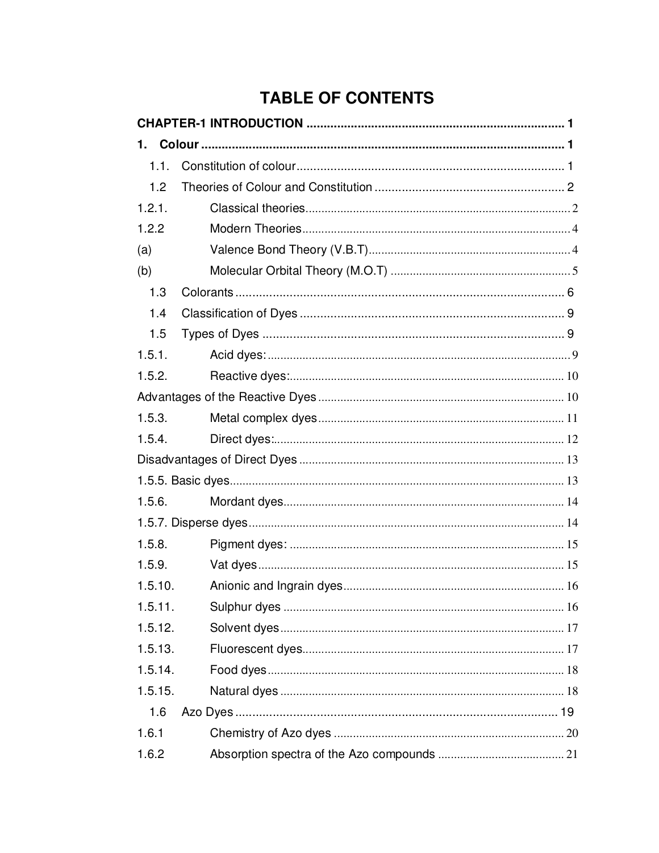## **TABLE OF CONTENTS**

| 1.      |  |  |  |
|---------|--|--|--|
| 1.1.    |  |  |  |
| 1.2     |  |  |  |
| 1.2.1.  |  |  |  |
| 1.2.2   |  |  |  |
| (a)     |  |  |  |
| (b)     |  |  |  |
| 1.3     |  |  |  |
| 1.4     |  |  |  |
| 1.5     |  |  |  |
| 1.5.1.  |  |  |  |
| 1.5.2.  |  |  |  |
|         |  |  |  |
| 1.5.3.  |  |  |  |
| 1.5.4.  |  |  |  |
|         |  |  |  |
|         |  |  |  |
| 1.5.6.  |  |  |  |
|         |  |  |  |
| 1.5.8.  |  |  |  |
| 1.5.9.  |  |  |  |
| 1.5.10. |  |  |  |
| 1.5.11. |  |  |  |
| 1.5.12. |  |  |  |
| 1.5.13. |  |  |  |
| 1.5.14. |  |  |  |
| 1.5.15. |  |  |  |
| 1.6     |  |  |  |
| 1.6.1   |  |  |  |
| 1.6.2   |  |  |  |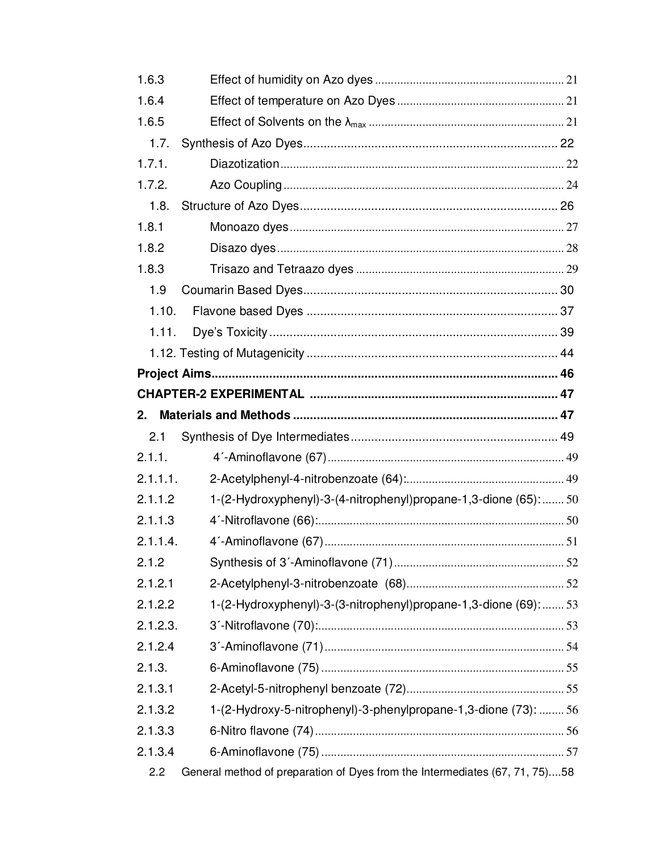| 1.6.3    |                                                                  |  |
|----------|------------------------------------------------------------------|--|
| 1.6.4    |                                                                  |  |
| 1.6.5    |                                                                  |  |
| 1.7.     |                                                                  |  |
| 1.7.1.   |                                                                  |  |
| 1.7.2.   |                                                                  |  |
| 1.8.     |                                                                  |  |
| 1.8.1    |                                                                  |  |
| 1.8.2    |                                                                  |  |
| 1.8.3    |                                                                  |  |
| 1.9      |                                                                  |  |
| 1.10.    |                                                                  |  |
| 1.11.    |                                                                  |  |
|          |                                                                  |  |
|          |                                                                  |  |
|          |                                                                  |  |
| 2.       |                                                                  |  |
| 2.1      |                                                                  |  |
|          |                                                                  |  |
| 2.1.1.   |                                                                  |  |
| 2.1.1.1. |                                                                  |  |
| 2.1.1.2  | 1-(2-Hydroxyphenyl)-3-(4-nitrophenyl)propane-1,3-dione (65):  50 |  |
| 2.1.1.3  |                                                                  |  |
| 2.1.1.4. |                                                                  |  |
| 2.1.2    |                                                                  |  |
| 2.1.2.1  |                                                                  |  |
| 2.1.2.2  | 1-(2-Hydroxyphenyl)-3-(3-nitrophenyl)propane-1,3-dione (69):  53 |  |
| 2.1.2.3. |                                                                  |  |
| 2.1.2.4  |                                                                  |  |
| 2.1.3.   |                                                                  |  |
| 2.1.3.1  |                                                                  |  |
| 2.1.3.2  | 1-(2-Hydroxy-5-nitrophenyl)-3-phenylpropane-1,3-dione (73):  56  |  |
| 2.1.3.3  |                                                                  |  |
| 2.1.3.4  |                                                                  |  |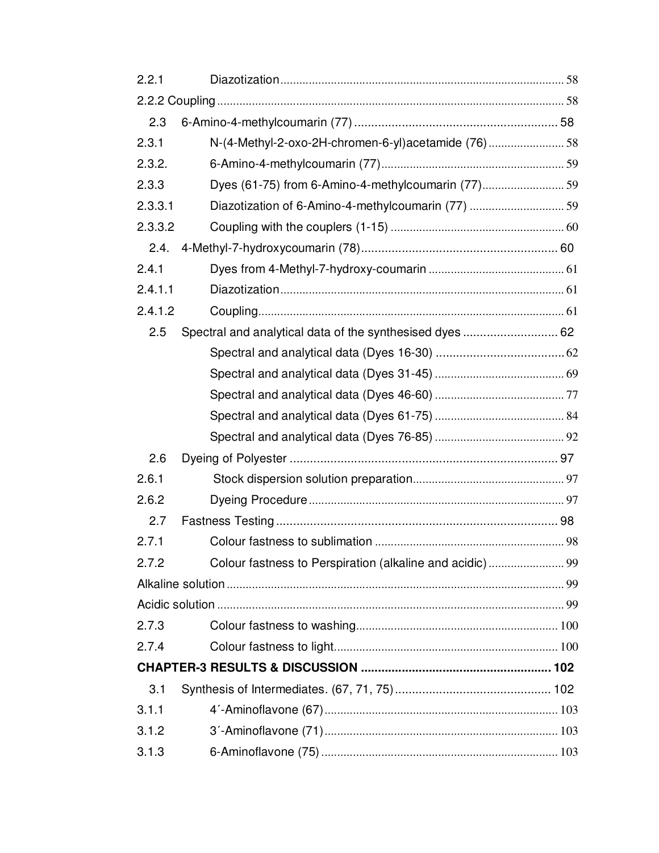| 2.2.1   |  |
|---------|--|
|         |  |
| 2.3     |  |
| 2.3.1   |  |
| 2.3.2.  |  |
| 2.3.3   |  |
| 2.3.3.1 |  |
| 2.3.3.2 |  |
| 2.4.    |  |
| 2.4.1   |  |
| 2.4.1.1 |  |
| 2.4.1.2 |  |
| 2.5     |  |
|         |  |
|         |  |
|         |  |
|         |  |
|         |  |
| 2.6     |  |
| 2.6.1   |  |
| 2.6.2   |  |
| 2.7     |  |
| 2.7.1   |  |
| 2.7.2   |  |
|         |  |
|         |  |
| 2.7.3   |  |
| 2.7.4   |  |
|         |  |
| 3.1     |  |
| 3.1.1   |  |
| 3.1.2   |  |
| 3.1.3   |  |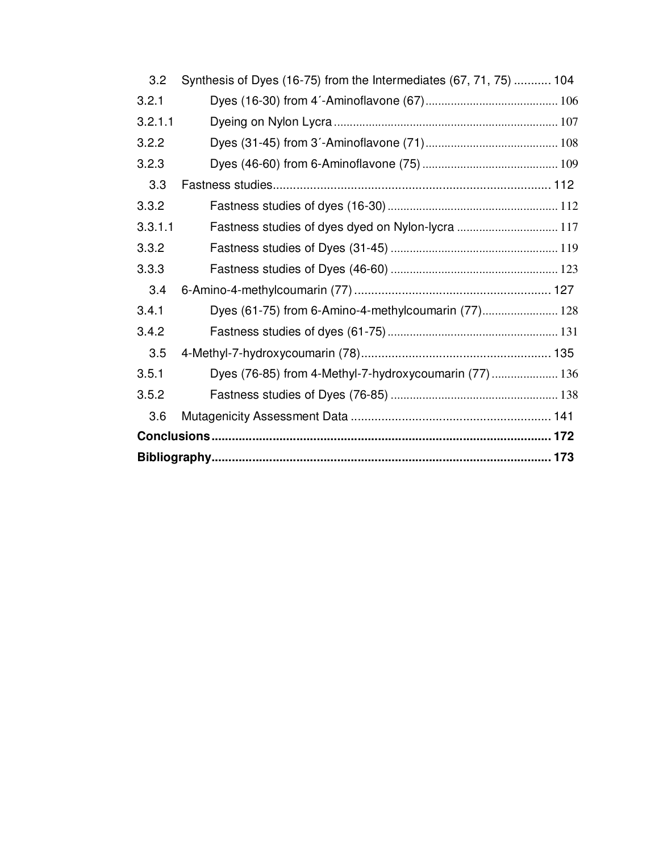| 3.2     | Synthesis of Dyes (16-75) from the Intermediates (67, 71, 75)  104 |  |  |
|---------|--------------------------------------------------------------------|--|--|
| 3.2.1   |                                                                    |  |  |
| 3.2.1.1 |                                                                    |  |  |
| 3.2.2   |                                                                    |  |  |
| 3.2.3   |                                                                    |  |  |
| 3.3     |                                                                    |  |  |
| 3.3.2   |                                                                    |  |  |
| 3.3.1.1 | Fastness studies of dyes dyed on Nylon-Iycra  117                  |  |  |
| 3.3.2   |                                                                    |  |  |
| 3.3.3   |                                                                    |  |  |
| 3.4     |                                                                    |  |  |
| 3.4.1   | Dyes (61-75) from 6-Amino-4-methylcoumarin (77) 128                |  |  |
| 3.4.2   |                                                                    |  |  |
| 3.5     |                                                                    |  |  |
| 3.5.1   | Dyes (76-85) from 4-Methyl-7-hydroxycoumarin (77) 136              |  |  |
| 3.5.2   |                                                                    |  |  |
| 3.6     |                                                                    |  |  |
|         |                                                                    |  |  |
|         |                                                                    |  |  |